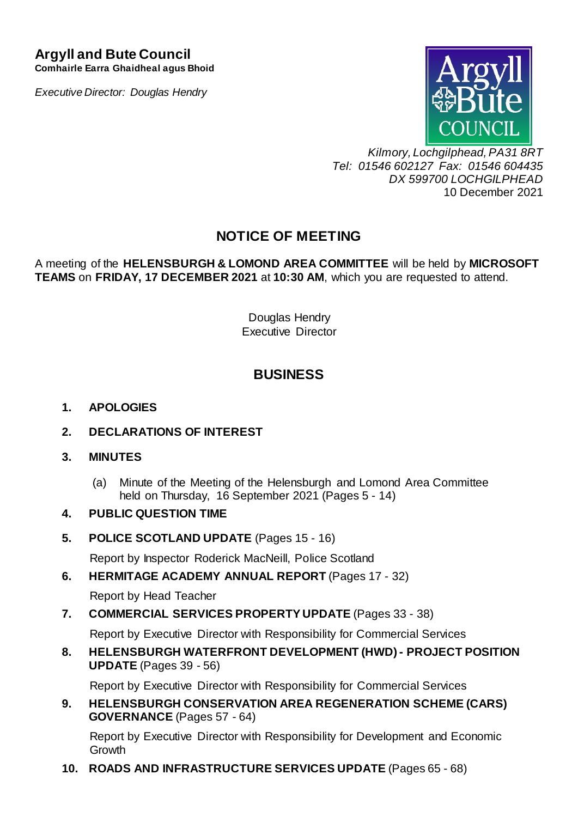### **Argyll and Bute Council Comhairle Earra Ghaidheal agus Bhoid**

*Executive Director: Douglas Hendry*



*Kilmory, Lochgilphead, PA31 8RT Tel: 01546 602127 Fax: 01546 604435 DX 599700 LOCHGILPHEAD* 10 December 2021

# **NOTICE OF MEETING**

A meeting of the **HELENSBURGH & LOMOND AREA COMMITTEE** will be held by **MICROSOFT TEAMS** on **FRIDAY, 17 DECEMBER 2021** at **10:30 AM**, which you are requested to attend.

> Douglas Hendry Executive Director

# **BUSINESS**

### **1. APOLOGIES**

**2. DECLARATIONS OF INTEREST**

### **3. MINUTES**

(a) Minute of the Meeting of the Helensburgh and Lomond Area Committee held on Thursday, 16 September 2021 (Pages 5 - 14)

### **4. PUBLIC QUESTION TIME**

**5. POLICE SCOTLAND UPDATE** (Pages 15 - 16)

Report by Inspector Roderick MacNeill, Police Scotland

**6. HERMITAGE ACADEMY ANNUAL REPORT** (Pages 17 - 32)

Report by Head Teacher

**7. COMMERCIAL SERVICES PROPERTY UPDATE** (Pages 33 - 38)

Report by Executive Director with Responsibility for Commercial Services

**8. HELENSBURGH WATERFRONT DEVELOPMENT (HWD) - PROJECT POSITION UPDATE** (Pages 39 - 56)

Report by Executive Director with Responsibility for Commercial Services

**9. HELENSBURGH CONSERVATION AREA REGENERATION SCHEME (CARS) GOVERNANCE** (Pages 57 - 64)

Report by Executive Director with Responsibility for Development and Economic **Growth** 

**10. ROADS AND INFRASTRUCTURE SERVICES UPDATE** (Pages 65 - 68)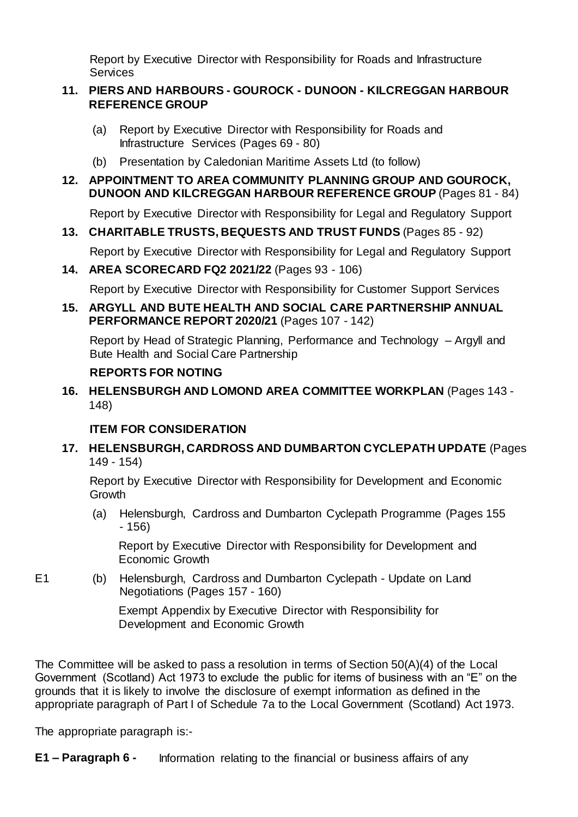Report by Executive Director with Responsibility for Roads and Infrastructure **Services** 

#### **11. PIERS AND HARBOURS - GOUROCK - DUNOON - KILCREGGAN HARBOUR REFERENCE GROUP**

- (a) Report by Executive Director with Responsibility for Roads and Infrastructure Services (Pages 69 - 80)
- (b) Presentation by Caledonian Maritime Assets Ltd (to follow)

### **12. APPOINTMENT TO AREA COMMUNITY PLANNING GROUP AND GOUROCK, DUNOON AND KILCREGGAN HARBOUR REFERENCE GROUP** (Pages 81 - 84)

Report by Executive Director with Responsibility for Legal and Regulatory Support

### **13. CHARITABLE TRUSTS, BEQUESTS AND TRUST FUNDS** (Pages 85 - 92)

Report by Executive Director with Responsibility for Legal and Regulatory Support

### **14. AREA SCORECARD FQ2 2021/22** (Pages 93 - 106)

Report by Executive Director with Responsibility for Customer Support Services

### **15. ARGYLL AND BUTE HEALTH AND SOCIAL CARE PARTNERSHIP ANNUAL PERFORMANCE REPORT 2020/21** (Pages 107 - 142)

Report by Head of Strategic Planning, Performance and Technology – Argyll and Bute Health and Social Care Partnership

### **REPORTS FOR NOTING**

**16. HELENSBURGH AND LOMOND AREA COMMITTEE WORKPLAN** (Pages 143 - 148)

### **ITEM FOR CONSIDERATION**

### **17. HELENSBURGH, CARDROSS AND DUMBARTON CYCLEPATH UPDATE** (Pages 149 - 154)

Report by Executive Director with Responsibility for Development and Economic **Growth** 

(a) Helensburgh, Cardross and Dumbarton Cyclepath Programme (Pages 155 - 156)

Report by Executive Director with Responsibility for Development and Economic Growth

E1 (b) Helensburgh, Cardross and Dumbarton Cyclepath - Update on Land Negotiations (Pages 157 - 160)

> Exempt Appendix by Executive Director with Responsibility for Development and Economic Growth

The Committee will be asked to pass a resolution in terms of Section 50(A)(4) of the Local Government (Scotland) Act 1973 to exclude the public for items of business with an "E" on the grounds that it is likely to involve the disclosure of exempt information as defined in the appropriate paragraph of Part I of Schedule 7a to the Local Government (Scotland) Act 1973.

The appropriate paragraph is:-

**E1 – Paragraph 6 -** Information relating to the financial or business affairs of any